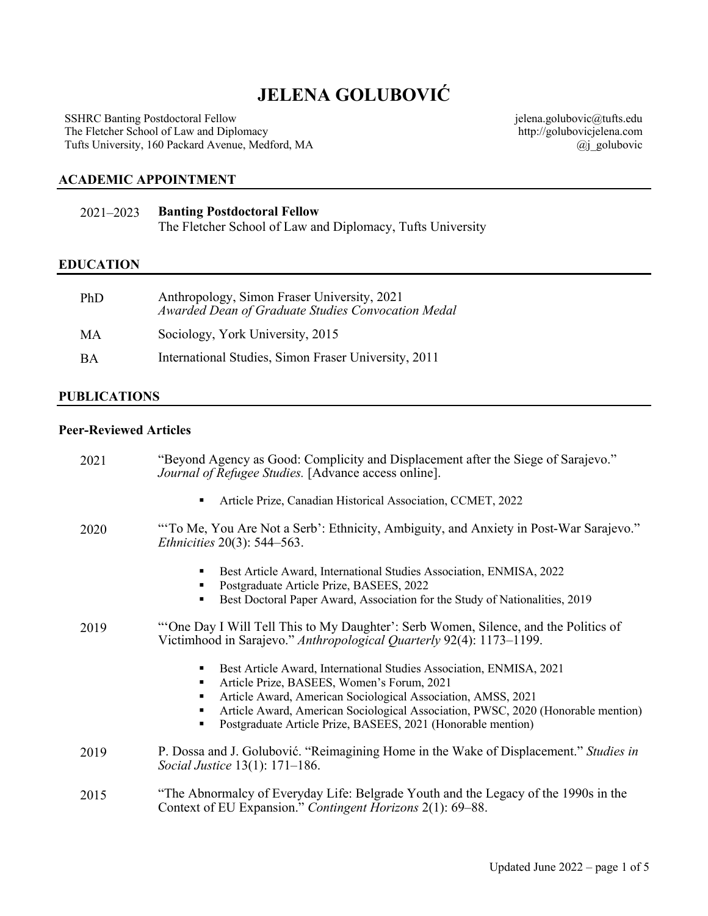# **JELENA GOLUBOVIĆ**

SSHRC Banting Postdoctoral Fellow The Fletcher School of Law and Diplomacy Tufts University, 160 Packard Avenue, Medford, MA jelena.golubovic@tufts.edu http://golubovicjelena.com @j\_golubovic

#### **ACADEMIC APPOINTMENT**

| $2021 - 2023$ | <b>Banting Postdoctoral Fellow</b>                         |
|---------------|------------------------------------------------------------|
|               | The Fletcher School of Law and Diplomacy, Tufts University |

#### **EDUCATION**

| PhD       | Anthropology, Simon Fraser University, 2021<br>Awarded Dean of Graduate Studies Convocation Medal |
|-----------|---------------------------------------------------------------------------------------------------|
| MA        | Sociology, York University, 2015                                                                  |
| <b>BA</b> | International Studies, Simon Fraser University, 2011                                              |

#### **PUBLICATIONS**

#### **Peer-Reviewed Articles**

| 2021 | "Beyond Agency as Good: Complicity and Displacement after the Siege of Sarajevo."<br>Journal of Refugee Studies. [Advance access online].                                                                                  |
|------|----------------------------------------------------------------------------------------------------------------------------------------------------------------------------------------------------------------------------|
|      | Article Prize, Canadian Historical Association, CCMET, 2022<br>٠                                                                                                                                                           |
| 2020 | "To Me, You Are Not a Serb': Ethnicity, Ambiguity, and Anxiety in Post-War Sarajevo."<br><i>Ethnicities</i> 20(3): 544–563.                                                                                                |
|      | Best Article Award, International Studies Association, ENMISA, 2022<br>٠<br>Postgraduate Article Prize, BASEES, 2022<br>٠                                                                                                  |
|      | Best Doctoral Paper Award, Association for the Study of Nationalities, 2019                                                                                                                                                |
| 2019 | "One Day I Will Tell This to My Daughter': Serb Women, Silence, and the Politics of<br>Victimhood in Sarajevo." Anthropological Quarterly 92(4): 1173–1199.                                                                |
|      | Best Article Award, International Studies Association, ENMISA, 2021<br>٠<br>Article Prize, BASEES, Women's Forum, 2021<br>٠                                                                                                |
|      | Article Award, American Sociological Association, AMSS, 2021<br>Article Award, American Sociological Association, PWSC, 2020 (Honorable mention)<br>٠<br>Postgraduate Article Prize, BASEES, 2021 (Honorable mention)<br>٠ |
| 2019 | P. Dossa and J. Golubović. "Reimagining Home in the Wake of Displacement." Studies in<br><i>Social Justice</i> 13(1): 171–186.                                                                                             |
| 2015 | "The Abnormalcy of Everyday Life: Belgrade Youth and the Legacy of the 1990s in the<br>Context of EU Expansion." Contingent Horizons 2(1): 69–88.                                                                          |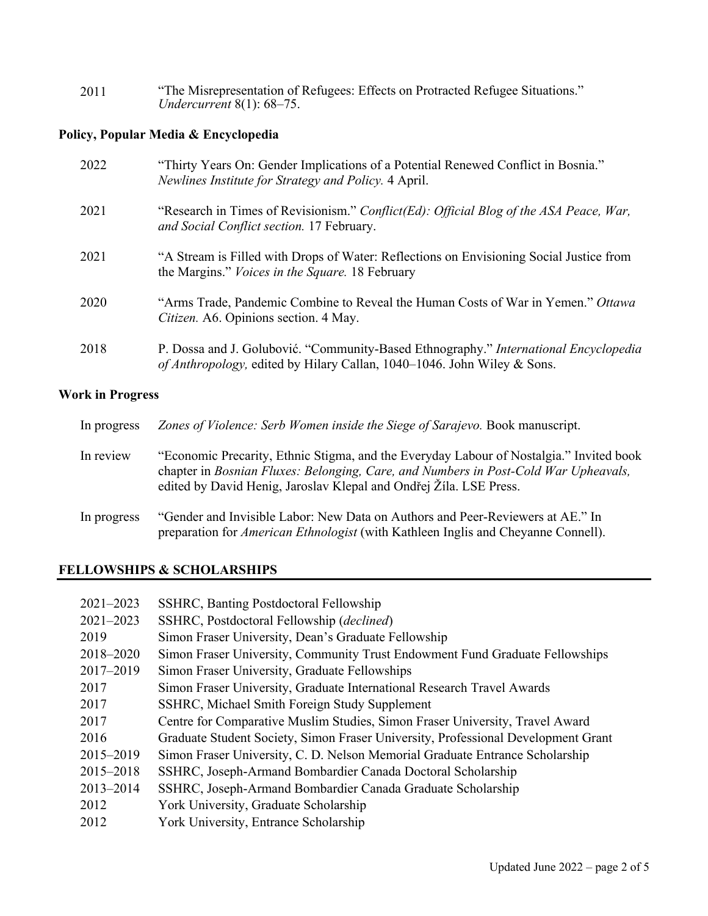| 2011 | "The Misrepresentation of Refugees: Effects on Protracted Refugee Situations." |
|------|--------------------------------------------------------------------------------|
|      | <i>Undercurrent</i> $8(1)$ : $68-75$ .                                         |

### **Policy, Popular Media & Encyclopedia**

| 2022 | "Thirty Years On: Gender Implications of a Potential Renewed Conflict in Bosnia."<br>Newlines Institute for Strategy and Policy. 4 April.                       |
|------|-----------------------------------------------------------------------------------------------------------------------------------------------------------------|
| 2021 | "Research in Times of Revisionism." Conflict(Ed): Official Blog of the ASA Peace, War,<br>and Social Conflict section. 17 February.                             |
| 2021 | "A Stream is Filled with Drops of Water: Reflections on Envisioning Social Justice from<br>the Margins." <i>Voices in the Square</i> . 18 February              |
| 2020 | "Arms Trade, Pandemic Combine to Reveal the Human Costs of War in Yemen." Ottawa<br>Citizen. A6. Opinions section. 4 May.                                       |
| 2018 | P. Dossa and J. Golubović. "Community-Based Ethnography." International Encyclopedia<br>of Anthropology, edited by Hilary Callan, 1040–1046. John Wiley & Sons. |

### **Work in Progress**

| In progress | Zones of Violence: Serb Women inside the Siege of Sarajevo. Book manuscript.                                                                                                                                                                         |
|-------------|------------------------------------------------------------------------------------------------------------------------------------------------------------------------------------------------------------------------------------------------------|
| In review   | "Economic Precarity, Ethnic Stigma, and the Everyday Labour of Nostalgia." Invited book<br>chapter in Bosnian Fluxes: Belonging, Care, and Numbers in Post-Cold War Upheavals,<br>edited by David Henig, Jaroslav Klepal and Ondřej Žíla. LSE Press. |
| In progress | "Gender and Invisible Labor: New Data on Authors and Peer-Reviewers at AE." In<br>preparation for <i>American Ethnologist</i> (with Kathleen Inglis and Cheyanne Connell).                                                                           |

### **FELLOWSHIPS & SCHOLARSHIPS**

| $2021 - 2023$<br>$2021 - 2023$ | SSHRC, Banting Postdoctoral Fellowship<br>SSHRC, Postdoctoral Fellowship (declined) |
|--------------------------------|-------------------------------------------------------------------------------------|
| 2019                           | Simon Fraser University, Dean's Graduate Fellowship                                 |
| 2018-2020                      | Simon Fraser University, Community Trust Endowment Fund Graduate Fellowships        |
| 2017-2019                      | Simon Fraser University, Graduate Fellowships                                       |
| 2017                           | Simon Fraser University, Graduate International Research Travel Awards              |
| 2017                           | SSHRC, Michael Smith Foreign Study Supplement                                       |
| 2017                           | Centre for Comparative Muslim Studies, Simon Fraser University, Travel Award        |
| 2016                           | Graduate Student Society, Simon Fraser University, Professional Development Grant   |
| 2015-2019                      | Simon Fraser University, C. D. Nelson Memorial Graduate Entrance Scholarship        |
| 2015-2018                      | SSHRC, Joseph-Armand Bombardier Canada Doctoral Scholarship                         |
| 2013-2014                      | SSHRC, Joseph-Armand Bombardier Canada Graduate Scholarship                         |
| 2012                           | York University, Graduate Scholarship                                               |
| 2012                           | York University, Entrance Scholarship                                               |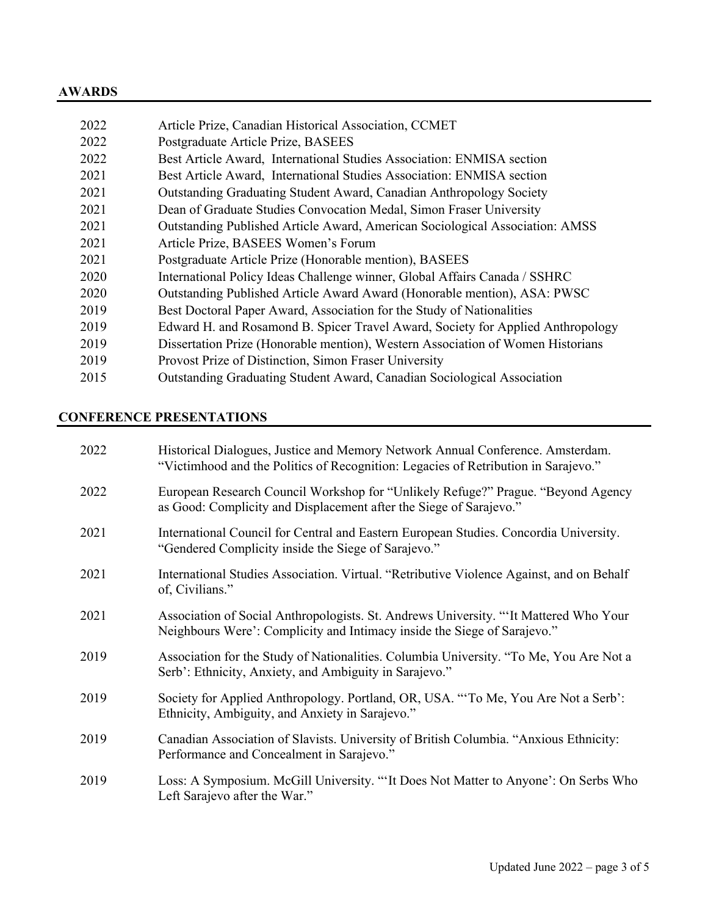### **AWARDS**

| 2022 | Article Prize, Canadian Historical Association, CCMET                           |
|------|---------------------------------------------------------------------------------|
| 2022 | Postgraduate Article Prize, BASEES                                              |
| 2022 | Best Article Award, International Studies Association: ENMISA section           |
| 2021 | Best Article Award, International Studies Association: ENMISA section           |
| 2021 | Outstanding Graduating Student Award, Canadian Anthropology Society             |
| 2021 | Dean of Graduate Studies Convocation Medal, Simon Fraser University             |
| 2021 | Outstanding Published Article Award, American Sociological Association: AMSS    |
| 2021 | Article Prize, BASEES Women's Forum                                             |
| 2021 | Postgraduate Article Prize (Honorable mention), BASEES                          |
| 2020 | International Policy Ideas Challenge winner, Global Affairs Canada / SSHRC      |
| 2020 | Outstanding Published Article Award Award (Honorable mention), ASA: PWSC        |
| 2019 | Best Doctoral Paper Award, Association for the Study of Nationalities           |
| 2019 | Edward H. and Rosamond B. Spicer Travel Award, Society for Applied Anthropology |
| 2019 | Dissertation Prize (Honorable mention), Western Association of Women Historians |
| 2019 | Provost Prize of Distinction, Simon Fraser University                           |
| 2015 | Outstanding Graduating Student Award, Canadian Sociological Association         |
|      |                                                                                 |

## **CONFERENCE PRESENTATIONS**

| 2022 | Historical Dialogues, Justice and Memory Network Annual Conference. Amsterdam.<br>"Victimhood and the Politics of Recognition: Legacies of Retribution in Sarajevo." |
|------|----------------------------------------------------------------------------------------------------------------------------------------------------------------------|
| 2022 | European Research Council Workshop for "Unlikely Refuge?" Prague. "Beyond Agency<br>as Good: Complicity and Displacement after the Siege of Sarajevo."               |
| 2021 | International Council for Central and Eastern European Studies. Concordia University.<br>"Gendered Complicity inside the Siege of Sarajevo."                         |
| 2021 | International Studies Association. Virtual. "Retributive Violence Against, and on Behalf<br>of, Civilians."                                                          |
| 2021 | Association of Social Anthropologists. St. Andrews University. "It Mattered Who Your<br>Neighbours Were': Complicity and Intimacy inside the Siege of Sarajevo."     |
| 2019 | Association for the Study of Nationalities. Columbia University. "To Me, You Are Not a<br>Serb': Ethnicity, Anxiety, and Ambiguity in Sarajevo."                     |
| 2019 | Society for Applied Anthropology. Portland, OR, USA. "To Me, You Are Not a Serb':<br>Ethnicity, Ambiguity, and Anxiety in Sarajevo."                                 |
| 2019 | Canadian Association of Slavists. University of British Columbia. "Anxious Ethnicity:<br>Performance and Concealment in Sarajevo."                                   |
| 2019 | Loss: A Symposium. McGill University. ""It Does Not Matter to Anyone': On Serbs Who<br>Left Sarajevo after the War."                                                 |
|      |                                                                                                                                                                      |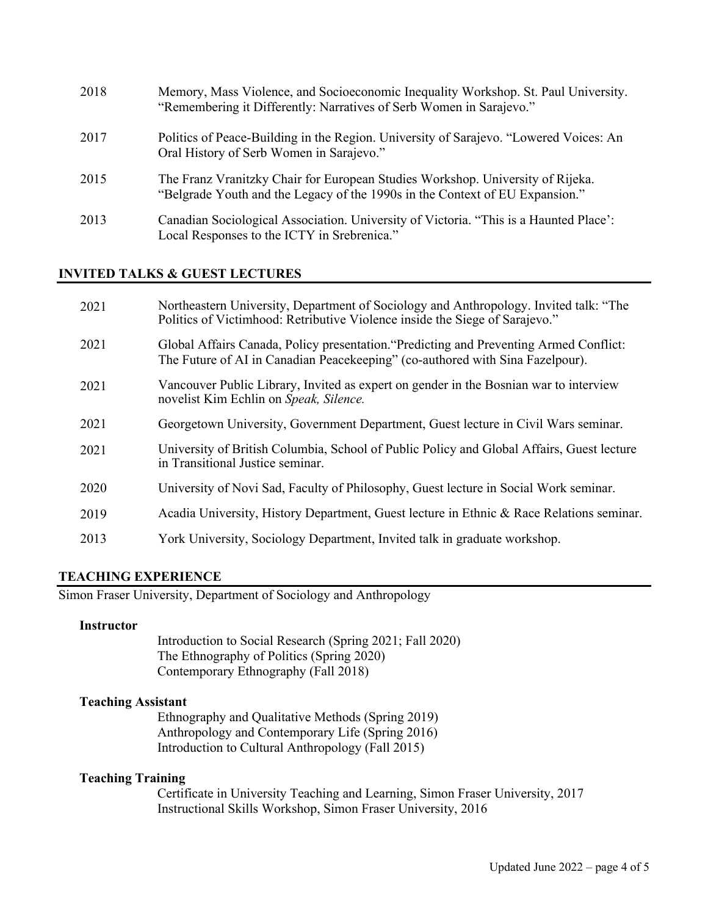| 2018 | Memory, Mass Violence, and Socioeconomic Inequality Workshop. St. Paul University.<br>"Remembering it Differently: Narratives of Serb Women in Sarajevo."      |
|------|----------------------------------------------------------------------------------------------------------------------------------------------------------------|
| 2017 | Politics of Peace-Building in the Region. University of Sarajevo. "Lowered Voices: An<br>Oral History of Serb Women in Sarajevo."                              |
| 2015 | The Franz Vranitzky Chair for European Studies Workshop. University of Rijeka.<br>"Belgrade Youth and the Legacy of the 1990s in the Context of EU Expansion." |
| 2013 | Canadian Sociological Association. University of Victoria. "This is a Haunted Place":<br>Local Responses to the ICTY in Srebrenica."                           |

#### **INVITED TALKS & GUEST LECTURES**

| 2021 | Northeastern University, Department of Sociology and Anthropology. Invited talk: "The<br>Politics of Victimhood: Retributive Violence inside the Siege of Sarajevo."    |
|------|-------------------------------------------------------------------------------------------------------------------------------------------------------------------------|
| 2021 | Global Affairs Canada, Policy presentation. "Predicting and Preventing Armed Conflict:<br>The Future of AI in Canadian Peacekeeping" (co-authored with Sina Fazelpour). |
| 2021 | Vancouver Public Library, Invited as expert on gender in the Bosnian war to interview<br>novelist Kim Echlin on Speak, Silence.                                         |
| 2021 | Georgetown University, Government Department, Guest lecture in Civil Wars seminar.                                                                                      |
| 2021 | University of British Columbia, School of Public Policy and Global Affairs, Guest lecture<br>in Transitional Justice seminar.                                           |
| 2020 | University of Novi Sad, Faculty of Philosophy, Guest lecture in Social Work seminar.                                                                                    |
| 2019 | Acadia University, History Department, Guest lecture in Ethnic & Race Relations seminar.                                                                                |
| 2013 | York University, Sociology Department, Invited talk in graduate workshop.                                                                                               |

#### **TEACHING EXPERIENCE**

Simon Fraser University, Department of Sociology and Anthropology

#### **Instructor**

Introduction to Social Research (Spring 2021; Fall 2020) The Ethnography of Politics (Spring 2020) Contemporary Ethnography (Fall 2018)

#### **Teaching Assistant**

Ethnography and Qualitative Methods (Spring 2019) Anthropology and Contemporary Life (Spring 2016) Introduction to Cultural Anthropology (Fall 2015)

#### **Teaching Training**

Certificate in University Teaching and Learning, Simon Fraser University, 2017 Instructional Skills Workshop, Simon Fraser University, 2016